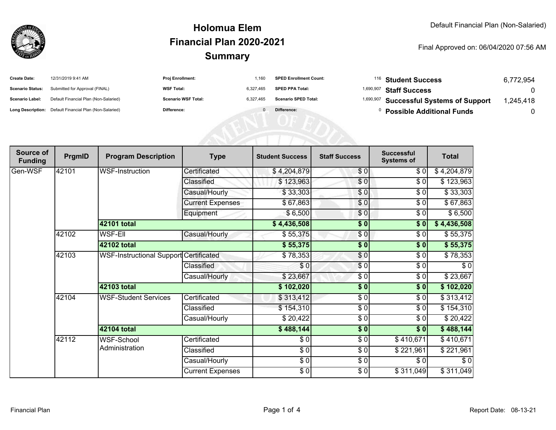

## **SummaryHolomua ElemFinancial Plan 2020-2021**

Final Approved on: 06/04/2020 07:56 AM

| <b>Create Date:</b>     | 12/31/2019 9:41 AM                                      | <b>Proj Enrollment:</b>    | 1.160     | <b>SPED Enrollment Count:</b> | <sup>116</sup> Student Success                     | 6,772,954 |
|-------------------------|---------------------------------------------------------|----------------------------|-----------|-------------------------------|----------------------------------------------------|-----------|
| <b>Scenario Status:</b> | Submitted for Approval (FINAL)                          | <b>WSF Total:</b>          | 6.327.465 | <b>SPED PPA Total:</b>        | <sup>1,690,907</sup> Staff Success                 |           |
| Scenario Label:         | Default Financial Plan (Non-Salaried)                   | <b>Scenario WSF Total:</b> | 6.327.465 | <b>Scenario SPED Total:</b>   | <sup>1,690,907</sup> Successful Systems of Support | ,245,418  |
|                         | Long Description: Default Financial Plan (Non-Salaried) | Difference:                |           | Difference:                   | <b>Possible Additional Funds</b>                   |           |

| Source of<br><b>Funding</b> | PrgmID | <b>Program Description</b>             | <b>Type</b>             | <b>Student Success</b>   | <b>Staff Success</b> | <b>Successful</b><br><b>Systems of</b> | <b>Total</b> |
|-----------------------------|--------|----------------------------------------|-------------------------|--------------------------|----------------------|----------------------------------------|--------------|
| Gen-WSF                     | 42101  | WSF-Instruction                        | Certificated            | \$4,204,879              | \$0                  | \$0]                                   | \$4,204,879  |
|                             |        |                                        | Classified              | \$123,963                | \$0                  | \$0                                    | \$123,963    |
|                             |        |                                        | Casual/Hourly           | \$33,303                 | \$0                  | \$0                                    | \$33,303     |
|                             |        |                                        | <b>Current Expenses</b> | \$67,863                 | \$0                  | \$0                                    | \$67,863     |
|                             |        |                                        | Equipment               | \$6,500                  | \$0                  | \$0                                    | \$6,500      |
|                             |        | 42101 total                            |                         | \$4,436,508              | $\frac{1}{2}$        | \$0]                                   | \$4,436,508  |
|                             | 42102  | WSF-EII                                | Casual/Hourly           | \$55,375                 | \$0                  | \$0                                    | \$55,375     |
|                             |        | 42102 total                            |                         | \$55,375                 | \$0                  | \$0                                    | \$55,375     |
|                             | 42103  | WSF-Instructional Support Certificated |                         | \$78,353                 | \$0                  | \$0                                    | \$78,353     |
|                             |        |                                        | Classified              | \$0                      | \$0                  | \$0                                    | $\sqrt{6}$   |
|                             |        |                                        | Casual/Hourly           | \$23,667                 | \$0                  | \$0                                    | \$23,667     |
|                             |        | 42103 total                            |                         | \$102,020                | \$0                  | \$0                                    | \$102,020    |
|                             | 42104  | <b>WSF-Student Services</b>            | Certificated            | \$313,412                | $\frac{3}{6}$        | \$0                                    | \$313,412    |
|                             |        |                                        | Classified              | \$154,310                | \$0                  | \$0                                    | \$154,310    |
|                             |        |                                        | Casual/Hourly           | \$20,422                 | \$0                  | \$0                                    | \$20,422     |
|                             |        | 42104 total                            |                         | \$488,144                | $\frac{1}{2}$        | \$0                                    | \$488,144    |
|                             | 42112  | WSF-School<br>Administration           | Certificated            | \$0                      | \$0                  | \$410,671                              | \$410,671    |
|                             |        |                                        | Classified              | $\overline{\frac{3}{2}}$ | $\sqrt{6}$           | \$221,961                              | \$221,961    |
|                             |        |                                        | Casual/Hourly           | $\frac{6}{6}$            | $\frac{3}{6}$        | \$0                                    | $\sqrt{6}$   |
|                             |        |                                        | <b>Current Expenses</b> | \$0                      | \$0                  | \$311,049                              | \$311,049    |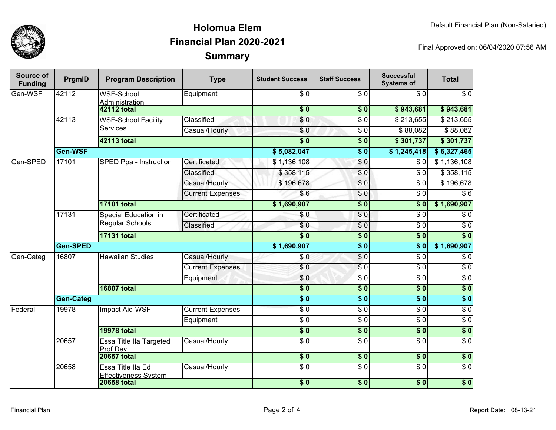

## **SummaryHolomua ElemFinancial Plan 2020-2021**

Final Approved on: 06/04/2020 07:56 AM

| Source of<br><b>Funding</b> | PrgmID           | <b>Program Description</b>                            | <b>Type</b>             | <b>Student Success</b> | <b>Staff Success</b> | <b>Successful</b><br><b>Systems of</b> | <b>Total</b>     |
|-----------------------------|------------------|-------------------------------------------------------|-------------------------|------------------------|----------------------|----------------------------------------|------------------|
| Gen-WSF                     | 42112            | <b>WSF-School</b><br>Administration                   | Equipment               | $\overline{\$0}$       | $\overline{\$0}$     | \$0                                    | $\overline{\$0}$ |
|                             |                  | <b>42112 total</b>                                    |                         | $\overline{\$0}$       | $\overline{\bullet}$ | \$943,681                              | \$943,681        |
|                             | 42113            | <b>WSF-School Facility</b><br><b>Services</b>         | Classified              | $\overline{\$0}$       | $\overline{\$0}$     | \$213,655                              | \$213,655        |
|                             |                  |                                                       | Casual/Hourly           | $\sqrt{6}$             | $\overline{\$0}$     | \$88,082                               | \$88,082         |
|                             |                  | <b>42113 total</b>                                    |                         | $\overline{\$0}$       | $\sqrt{6}$           | \$301,737                              | \$301,737        |
|                             | Gen-WSF          |                                                       |                         | \$5,082,047            | $\frac{1}{2}$        | \$1,245,418                            | \$6,327,465      |
| Gen-SPED                    | 17101            | SPED Ppa - Instruction                                | Certificated            | \$1,136,108            | \$0                  | \$0                                    | \$1,136,108      |
|                             |                  |                                                       | Classified              | \$358,115              | \$0                  | $\overline{\$0}$                       | \$358,115        |
|                             |                  |                                                       | Casual/Hourly           | \$196,678              | \$0                  | \$0                                    | \$196,678        |
|                             |                  |                                                       | <b>Current Expenses</b> | \$6                    | \$0                  | $\overline{\$0}$                       | $\overline{$6}$  |
|                             |                  | <b>17101 total</b>                                    |                         | \$1,690,907            | $\overline{\$0}$     | $\overline{\$}0$                       | \$1,690,907      |
|                             | 17131            | <b>Special Education in</b><br><b>Regular Schools</b> | Certificated            | $\overline{S}0$        | $\overline{\$0}$     | $\overline{\$0}$                       | $\overline{\$0}$ |
|                             |                  |                                                       | Classified              | $\overline{\$0}$       | $\overline{\$0}$     | $\overline{\$0}$                       | $\overline{\$0}$ |
|                             |                  | <b>17131 total</b>                                    |                         | $\overline{\$0}$       | $\sqrt{6}$           | $\overline{\$}0$                       | $\overline{\$0}$ |
|                             | Gen-SPED         |                                                       |                         | \$1,690,907            | $\frac{1}{6}$        | $\overline{\bullet}$ 0                 | \$1,690,907      |
| Gen-Categ                   | 16807            | <b>Hawaiian Studies</b>                               | Casual/Hourly           | $\overline{\$0}$       | $\overline{S}0$      | $\overline{\$0}$                       | $\overline{\$0}$ |
|                             |                  |                                                       | <b>Current Expenses</b> | \$0                    | $\overline{\$0}$     | $\overline{\$0}$                       | $\overline{\$0}$ |
|                             |                  |                                                       | Equipment               | $\overline{S}0$        | $\overline{\$0}$     | $\overline{\$0}$                       | $\overline{\$0}$ |
|                             |                  | <b>16807 total</b>                                    |                         | $\overline{\$0}$       | \$0                  | $\overline{\$}0$                       | $\overline{\$0}$ |
|                             | <b>Gen-Categ</b> |                                                       |                         | $\overline{\$0}$       | $\frac{1}{2}$        | $\overline{\textbf{S}^0}$              | $\overline{\$0}$ |
| Federal                     | 19978            | Impact Aid-WSF                                        | <b>Current Expenses</b> | $\overline{S}0$        | $\overline{\$0}$     | $\overline{\$0}$                       | $\overline{\$0}$ |
|                             |                  |                                                       | Equipment               | $\overline{30}$        | $\overline{\$0}$     | $\overline{\$0}$                       | $\overline{\$0}$ |
|                             |                  | <b>19978 total</b>                                    |                         | $\overline{\$0}$       | s <sub>0</sub>       | $\overline{\$0}$                       | $\overline{\$0}$ |
|                             | 20657            | Essa Title IIa Targeted<br>Prof Dev                   | Casual/Hourly           | $\overline{30}$        | $\overline{\$0}$     | $\overline{\$0}$                       | $\overline{\$0}$ |
|                             |                  | <b>20657 total</b>                                    |                         | $\sqrt{6}$             | $\frac{1}{2}$        | $\sqrt{6}$                             | \$0              |
|                             | 20658            | Essa Title IIa Ed<br><b>Effectiveness System</b>      | Casual/Hourly           | $\overline{S}0$        | $\overline{\$0}$     | $\overline{\$0}$                       | \$0              |
|                             |                  | <b>20658 total</b>                                    |                         | $\overline{\$0}$       | $\overline{\$0}$     | $\overline{\$0}$                       | $\overline{\$0}$ |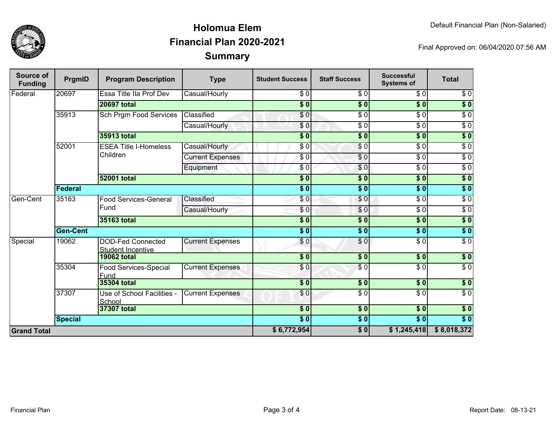

## **SummaryHolomua ElemFinancial Plan 2020-2021**

Final Approved on: 06/04/2020 07:56 AM

| <b>Source of</b><br><b>Funding</b> | PrgmID             | <b>Program Description</b>                           | <b>Type</b>             | <b>Student Success</b> | <b>Staff Success</b> | <b>Successful</b><br><b>Systems of</b> | <b>Total</b>     |
|------------------------------------|--------------------|------------------------------------------------------|-------------------------|------------------------|----------------------|----------------------------------------|------------------|
| Federal                            | 20697              | Essa Title IIa Prof Dev                              | Casual/Hourly           | \$0                    | \$0                  | $\overline{30}$                        | \$0              |
|                                    |                    | <b>20697 total</b>                                   |                         | $\overline{\$0}$       | $\overline{\$0}$     | $\overline{\$0}$                       | $\overline{\$0}$ |
|                                    | 35913              | Sch Prgm Food Services                               | Classified              | $\overline{\$0}$       | $\overline{\$0}$     | $\overline{\$0}$                       | $\overline{\$0}$ |
|                                    |                    |                                                      | Casual/Hourly           | \$0                    | $\overline{\$0}$     | $\overline{30}$                        | $\sqrt{6}$       |
|                                    |                    | 35913 total                                          |                         | $\overline{\$0}$       | $\overline{\bullet}$ | $\sqrt{6}$                             | $\overline{\$0}$ |
|                                    | 52001              | <b>ESEA Title I-Homeless</b><br>Children             | Casual/Hourly           | \$0                    | $\sqrt{6}$           | $\overline{\$0}$                       | $\sqrt{6}$       |
|                                    |                    |                                                      | <b>Current Expenses</b> | \$0                    | \$0                  | $\overline{\$0}$                       | $\sqrt{6}$       |
|                                    |                    |                                                      | Equipment               | \$0                    | $\overline{\$0}$     | $\overline{30}$                        | $\sqrt{6}$       |
|                                    |                    | <b>52001 total</b>                                   |                         | $\overline{\$0}$       | $\overline{\bullet}$ | $\overline{\$0}$                       | $\sqrt{50}$      |
|                                    | Federal            |                                                      |                         | $\overline{\$0}$       | $\overline{\$0}$     | $\overline{\$0}$                       | $\sqrt{50}$      |
| Gen-Cent                           | 35163              | <b>Food Services-General</b><br>Fund                 | Classified              | \$0                    | \$0                  | $\overline{\$0}$                       | $\overline{\$0}$ |
|                                    |                    |                                                      | Casual/Hourly           | $\sqrt{6}$             | \$0                  | $\overline{\$0}$                       | $\sqrt{6}$       |
|                                    |                    | 35163 total                                          |                         | $\overline{\$0}$       | $\overline{\$0}$     | $\overline{\$0}$                       | $\overline{\$0}$ |
|                                    | <b>Gen-Cent</b>    |                                                      |                         | $\overline{\bullet}$ 0 | $\overline{\$0}$     | $\sqrt{6}$                             | $\overline{\$0}$ |
| Special                            | 19062              | <b>DOD-Fed Connected</b><br><b>Student Incentive</b> | <b>Current Expenses</b> | \$0                    | \$0                  | $\overline{30}$                        | $\overline{\$0}$ |
|                                    |                    | <b>19062 total</b>                                   |                         | $\overline{\$0}$       | s <sub>0</sub>       | $\overline{\$}0$                       | $\sqrt{ }$       |
|                                    | 35304              | <b>Food Services-Special</b><br>Fund                 | <b>Current Expenses</b> | \$0                    | $\sqrt{6}$           | $\overline{\$0}$                       | $\sqrt{6}$       |
|                                    |                    | 35304 total                                          |                         | \$0                    | \$0                  | \$0                                    | \$0              |
|                                    | 37307              | Use of School Facilities -<br>School                 | <b>Current Expenses</b> | \$0                    | \$0                  | \$0                                    | $\sqrt{6}$       |
|                                    | <b>37307 total</b> |                                                      | $\frac{1}{6}$           | \$0                    | $\sqrt{6}$           | $\sqrt{ }$                             |                  |
|                                    | <b>Special</b>     |                                                      |                         | $\overline{\$0}$       | \$0                  | $\overline{\$0}$                       | $\overline{\$0}$ |
| <b>Grand Total</b>                 |                    |                                                      |                         |                        | $\sqrt{50}$          | \$1,245,418                            | \$8,018,372      |